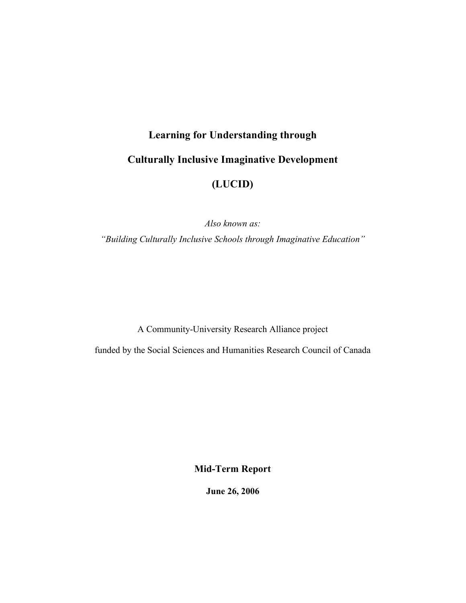# **Learning for Understanding through Culturally Inclusive Imaginative Development (LUCID)**

*Also known as: "Building Culturally Inclusive Schools through Imaginative Education"*

A Community-University Research Alliance project

funded by the Social Sciences and Humanities Research Council of Canada

**Mid-Term Report**

**June 26, 2006**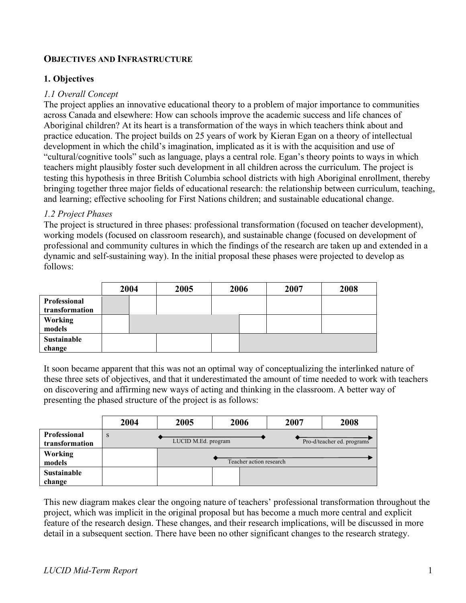## **OBJECTIVES AND INFRASTRUCTURE**

## **1. Objectives**

#### *1.1 Overall Concept*

The project applies an innovative educational theory to a problem of major importance to communities across Canada and elsewhere: How can schools improve the academic success and life chances of Aboriginal children? At its heart is a transformation of the ways in which teachers think about and practice education. The project builds on 25 years of work by Kieran Egan on a theory of intellectual development in which the child's imagination, implicated as it is with the acquisition and use of "cultural/cognitive tools" such as language, plays a central role. Egan's theory points to ways in which teachers might plausibly foster such development in all children across the curriculum. The project is testing this hypothesis in three British Columbia school districts with high Aboriginal enrollment, thereby bringing together three major fields of educational research: the relationship between curriculum, teaching, and learning; effective schooling for First Nations children; and sustainable educational change.

## *1.2 Project Phases*

The project is structured in three phases: professional transformation (focused on teacher development), working models (focused on classroom research), and sustainable change (focused on development of professional and community cultures in which the findings of the research are taken up and extended in a dynamic and self-sustaining way). In the initial proposal these phases were projected to develop as follows:

|                                | 2004 | 2005 | 2006 | 2007 | 2008 |
|--------------------------------|------|------|------|------|------|
| Professional<br>transformation |      |      |      |      |      |
| <b>Working</b><br>models       |      |      |      |      |      |
| Sustainable<br>change          |      |      |      |      |      |

It soon became apparent that this was not an optimal way of conceptualizing the interlinked nature of these three sets of objectives, and that it underestimated the amount of time needed to work with teachers on discovering and affirming new ways of acting and thinking in the classroom. A better way of presenting the phased structure of the project is as follows:

|                                       | 2004 | 2005                | 2006                    | 2007 | 2008                       |
|---------------------------------------|------|---------------------|-------------------------|------|----------------------------|
| <b>Professional</b><br>transformation | S    | LUCID M.Ed. program |                         |      | Pro-d/teacher ed. programs |
| Working<br>models                     |      |                     | Teacher action research |      |                            |
| <b>Sustainable</b><br>change          |      |                     |                         |      |                            |

This new diagram makes clear the ongoing nature of teachers' professional transformation throughout the project, which was implicit in the original proposal but has become a much more central and explicit feature of the research design. These changes, and their research implications, will be discussed in more detail in a subsequent section. There have been no other significant changes to the research strategy.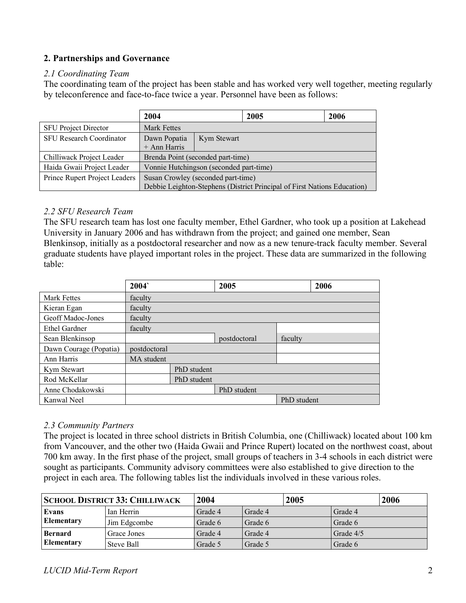## **2. Partnerships and Governance**

#### *2.1 Coordinating Team*

The coordinating team of the project has been stable and has worked very well together, meeting regularly by teleconference and face-to-face twice a year. Personnel have been as follows:

|                                 | 2004                                                                                                           |             | 2005 | 2006 |  |  |
|---------------------------------|----------------------------------------------------------------------------------------------------------------|-------------|------|------|--|--|
| <b>SFU Project Director</b>     | <b>Mark Fettes</b>                                                                                             |             |      |      |  |  |
| <b>SFU Research Coordinator</b> | Dawn Popatia<br>+ Ann Harris                                                                                   | Kym Stewart |      |      |  |  |
| Chilliwack Project Leader       | Brenda Point (seconded part-time)                                                                              |             |      |      |  |  |
| Haida Gwaii Project Leader      | Vonnie Hutchingson (seconded part-time)                                                                        |             |      |      |  |  |
| Prince Rupert Project Leaders   | Susan Crowley (seconded part-time)<br>Debbie Leighton-Stephens (District Principal of First Nations Education) |             |      |      |  |  |

#### *2.2 SFU Research Team*

The SFU research team has lost one faculty member, Ethel Gardner, who took up a position at Lakehead University in January 2006 and has withdrawn from the project; and gained one member, Sean Blenkinsop, initially as a postdoctoral researcher and now as a new tenure-track faculty member. Several graduate students have played important roles in the project. These data are summarized in the following table:

|                        | 2004         |             | 2005         |             | 2006 |
|------------------------|--------------|-------------|--------------|-------------|------|
| <b>Mark Fettes</b>     | faculty      |             |              |             |      |
| Kieran Egan            | faculty      |             |              |             |      |
| Geoff Madoc-Jones      | faculty      |             |              |             |      |
| Ethel Gardner          | faculty      |             |              |             |      |
| Sean Blenkinsop        |              |             | postdoctoral | faculty     |      |
| Dawn Courage (Popatia) | postdoctoral |             |              |             |      |
| Ann Harris             | MA student   |             |              |             |      |
| Kym Stewart            |              | PhD student |              |             |      |
| Rod McKellar           |              | PhD student |              |             |      |
| Anne Chodakowski       |              |             | PhD student  |             |      |
| Kanwal Neel            |              |             |              | PhD student |      |

## *2.3 Community Partners*

The project is located in three school districts in British Columbia, one (Chilliwack) located about 100 km from Vancouver, and the other two (Haida Gwaii and Prince Rupert) located on the northwest coast, about 700 km away. In the first phase of the project, small groups of teachers in 3-4 schools in each district were sought as participants. Community advisory committees were also established to give direction to the project in each area. The following tables list the individuals involved in these various roles.

| <b>SCHOOL DISTRICT 33: CHILLIWACK</b> |              | 2004    | 2005    | 2006        |  |
|---------------------------------------|--------------|---------|---------|-------------|--|
| Evans                                 | Ian Herrin   | Grade 4 | Grade 4 | Grade 4     |  |
| <b>Elementary</b>                     | Jim Edgcombe | Grade 6 | Grade 6 | Grade 6     |  |
| <b>Bernard</b>                        | Grace Jones  | Grade 4 | Grade 4 | Grade $4/5$ |  |
| <b>Elementary</b>                     | Steve Ball   | Grade 5 | Grade 5 | Grade 6     |  |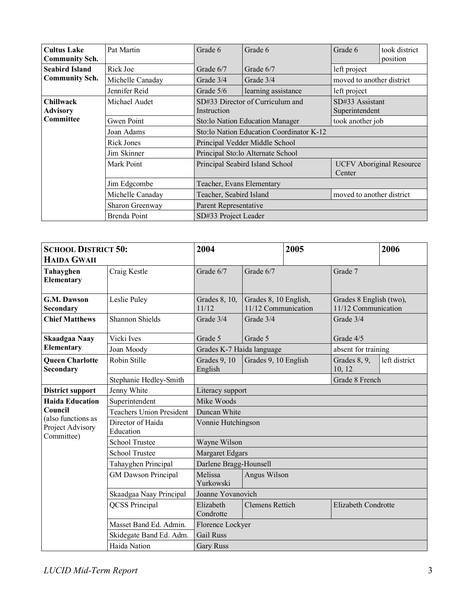| <b>Cultus Lake</b><br><b>Community Sch.</b> | Pat Martin       | Grade 6                                                                      | Grade 6                           | Grade 6                           | took district<br>position |  |
|---------------------------------------------|------------------|------------------------------------------------------------------------------|-----------------------------------|-----------------------------------|---------------------------|--|
| <b>Seabird Island</b>                       | Rick Joe         | Grade 6/7                                                                    | Grade 6/7                         | left project                      |                           |  |
| <b>Community Sch.</b>                       | Michelle Canaday | Grade 3/4                                                                    | Grade 3/4                         | moved to another district         |                           |  |
|                                             | Jennifer Reid    | Grade $5/6$                                                                  | learning assistance               | left project                      |                           |  |
| <b>Chillwack</b><br><b>Advisory</b>         | Michael Audet    | SD#33 Director of Curriculum and<br>Instruction                              |                                   | SD#33 Assistant<br>Superintendent |                           |  |
| <b>Committee</b>                            | Gwen Point       | took another job<br>Sto:lo Nation Education Manager                          |                                   |                                   |                           |  |
|                                             | Joan Adams       | Sto:lo Nation Education Coordinator K-12                                     |                                   |                                   |                           |  |
|                                             | Rick Jones       |                                                                              | Principal Vedder Middle School    |                                   |                           |  |
|                                             | Jim Skinner      |                                                                              | Principal Sto:lo Alternate School |                                   |                           |  |
|                                             | Mark Point       | Principal Seabird Island School<br><b>UCFV</b> Aboriginal Resource<br>Center |                                   |                                   |                           |  |
|                                             | Jim Edgcombe     | Teacher, Evans Elementary                                                    |                                   |                                   |                           |  |
|                                             | Michelle Canaday | Teacher, Seabird Island<br>moved to another district                         |                                   |                                   |                           |  |
|                                             | Sharon Greenway  | Parent Representative                                                        |                                   |                                   |                           |  |
|                                             | Brenda Point     | SD#33 Project Leader                                                         |                                   |                                   |                           |  |

| <b>SCHOOL DISTRICT 50:</b>                           |                                 | 2004                      |                                              |  | 2005                                           |               |  |
|------------------------------------------------------|---------------------------------|---------------------------|----------------------------------------------|--|------------------------------------------------|---------------|--|
| <b>HAIDA GWAII</b>                                   |                                 |                           |                                              |  |                                                |               |  |
| Tahayghen<br>Elementary                              | Craig Kestle                    | Grade 6/7                 | Grade 6/7                                    |  | Grade 7                                        |               |  |
| G.M. Dawson<br>Secondary                             | Leslie Puley                    | Grades 8, 10,<br>11/12    | Grades 8, 10 English,<br>11/12 Communication |  | Grades 8 English (two),<br>11/12 Communication |               |  |
| <b>Chief Matthews</b>                                | Shannon Shields                 | Grade 3/4                 | Grade 3/4                                    |  | Grade 3/4                                      |               |  |
| Skaadgaa Naay                                        | Vicki Ives                      | Grade 5                   | Grade 5                                      |  | Grade 4/5                                      |               |  |
| Elementary                                           | Joan Moody                      | Grades K-7 Haida language |                                              |  | absent for training                            |               |  |
| <b>Queen Charlotte</b><br><b>Secondary</b>           | Robin Stille                    | Grades 9, 10<br>English   | Grades 9, 10 English                         |  | Grades 8, 9,<br>10, 12                         | left district |  |
|                                                      | Stephanie Hedley-Smith          |                           |                                              |  | Grade 8 French                                 |               |  |
| <b>District support</b>                              | Jenny White                     | Literacy support          |                                              |  |                                                |               |  |
| <b>Haida Education</b>                               | Superintendent<br>Mike Woods    |                           |                                              |  |                                                |               |  |
| Council                                              | <b>Teachers Union President</b> |                           |                                              |  |                                                |               |  |
| (also functions as<br>Project Advisory<br>Committee) | Director of Haida<br>Education  | Vonnie Hutchingson        |                                              |  |                                                |               |  |
|                                                      | <b>School Trustee</b>           | Wayne Wilson              |                                              |  |                                                |               |  |
|                                                      | <b>School Trustee</b>           | Margaret Edgars           |                                              |  |                                                |               |  |
|                                                      | Tahayghen Principal             | Darlene Bragg-Hounsell    |                                              |  |                                                |               |  |
|                                                      | <b>GM</b> Dawson Principal      | Melissa<br>Yurkowski      | Angus Wilson                                 |  |                                                |               |  |
| Skaadgaa Naay Principal                              |                                 | Joanne Yovanovich         |                                              |  |                                                |               |  |
|                                                      | <b>QCSS</b> Principal           | Elizabeth<br>Condrotte    | <b>Clemens Rettich</b>                       |  | Elizabeth Condrotte                            |               |  |
|                                                      | Masset Band Ed. Admin.          | Florence Lockyer          |                                              |  |                                                |               |  |
|                                                      | Skidegate Band Ed. Adm.         | <b>Gail Russ</b>          |                                              |  |                                                |               |  |
|                                                      | Haida Nation                    | <b>Gary Russ</b>          |                                              |  |                                                |               |  |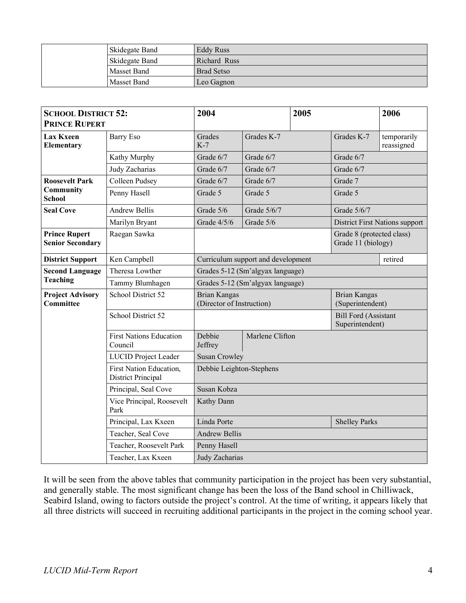| <b>Skidegate Band</b> | Eddy Russ         |
|-----------------------|-------------------|
| <b>Skidegate Band</b> | Richard Russ      |
| <b>Masset Band</b>    | <b>Brad Setso</b> |
| Masset Band           | Leo Gagnon        |

| <b>SCHOOL DISTRICT 52:</b><br><b>PRINCE RUPERT</b>   |                                           | 2004                                             |                                  |  | 2005                                           |                                       |
|------------------------------------------------------|-------------------------------------------|--------------------------------------------------|----------------------------------|--|------------------------------------------------|---------------------------------------|
| <b>Lax Kxeen</b><br>Elementary                       | <b>Barry Eso</b>                          | Grades<br>$K-7$                                  | Grades K-7                       |  | Grades K-7                                     | temporarily<br>reassigned             |
|                                                      | Kathy Murphy                              | Grade 6/7                                        | Grade 6/7                        |  | Grade 6/7                                      |                                       |
|                                                      | Judy Zacharias                            | Grade 6/7                                        | Grade 6/7                        |  | Grade 6/7                                      |                                       |
| <b>Roosevelt Park</b>                                | Colleen Pudsey                            | Grade 6/7                                        | Grade 6/7                        |  | Grade 7                                        |                                       |
| Community<br><b>School</b>                           | Penny Hasell                              | Grade 5                                          | Grade 5                          |  | Grade 5                                        |                                       |
| <b>Seal Cove</b>                                     | <b>Andrew Bellis</b>                      | Grade 5/6                                        | Grade 5/6/7                      |  | Grade 5/6/7                                    |                                       |
|                                                      | Marilyn Bryant                            | Grade 4/5/6                                      | Grade 5/6                        |  |                                                | <b>District First Nations support</b> |
| <b>Prince Rupert</b><br><b>Senior Secondary</b>      | Raegan Sawka                              | Grade 8 (protected class)<br>Grade 11 (biology)  |                                  |  |                                                |                                       |
| <b>District Support</b>                              | Ken Campbell                              | Curriculum support and development               |                                  |  | retired                                        |                                       |
| <b>Second Language</b>                               | Theresa Lowther                           | Grades 5-12 (Sm'algyax language)                 |                                  |  |                                                |                                       |
| <b>Teaching</b>                                      | Tammy Blumhagen                           |                                                  | Grades 5-12 (Sm'algyax language) |  |                                                |                                       |
| <b>Project Advisory</b><br><b>Committee</b>          | School District 52                        | <b>Brian Kangas</b><br>(Director of Instruction) |                                  |  | <b>Brian Kangas</b><br>(Superintendent)        |                                       |
|                                                      | School District 52                        |                                                  |                                  |  | <b>Bill Ford (Assistant</b><br>Superintendent) |                                       |
|                                                      | <b>First Nations Education</b><br>Council | Debbie<br>Jeffrey                                | Marlene Clifton                  |  |                                                |                                       |
|                                                      | <b>LUCID Project Leader</b>               | <b>Susan Crowley</b>                             |                                  |  |                                                |                                       |
| <b>First Nation Education,</b><br>District Principal |                                           |                                                  | Debbie Leighton-Stephens         |  |                                                |                                       |
|                                                      | Principal, Seal Cove                      | Susan Kobza                                      |                                  |  |                                                |                                       |
|                                                      | Vice Principal, Roosevelt<br>Park         | Kathy Dann                                       |                                  |  |                                                |                                       |
|                                                      | Principal, Lax Kxeen                      | Linda Porte                                      |                                  |  | <b>Shelley Parks</b>                           |                                       |
|                                                      | Teacher, Seal Cove                        | <b>Andrew Bellis</b>                             |                                  |  |                                                |                                       |
|                                                      | Teacher, Roosevelt Park                   | Penny Hasell                                     |                                  |  |                                                |                                       |
|                                                      | Teacher, Lax Kxeen                        | Judy Zacharias                                   |                                  |  |                                                |                                       |

It will be seen from the above tables that community participation in the project has been very substantial, and generally stable. The most significant change has been the loss of the Band school in Chilliwack, Seabird Island, owing to factors outside the project's control. At the time of writing, it appears likely that all three districts will succeed in recruiting additional participants in the project in the coming school year.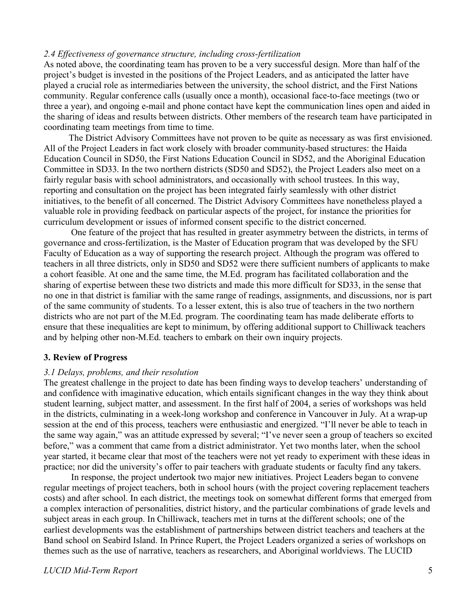#### *2.4 Effectiveness of governance structure, including cross-fertilization*

As noted above, the coordinating team has proven to be a very successful design. More than half of the project's budget is invested in the positions of the Project Leaders, and as anticipated the latter have played a crucial role as intermediaries between the university, the school district, and the First Nations community. Regular conference calls (usually once a month), occasional face-to-face meetings (two or three a year), and ongoing e-mail and phone contact have kept the communication lines open and aided in the sharing of ideas and results between districts. Other members of the research team have participated in coordinating team meetings from time to time.

The District Advisory Committees have not proven to be quite as necessary as was first envisioned. All of the Project Leaders in fact work closely with broader community-based structures: the Haida Education Council in SD50, the First Nations Education Council in SD52, and the Aboriginal Education Committee in SD33. In the two northern districts (SD50 and SD52), the Project Leaders also meet on a fairly regular basis with school administrators, and occasionally with school trustees. In this way, reporting and consultation on the project has been integrated fairly seamlessly with other district initiatives, to the benefit of all concerned. The District Advisory Committees have nonetheless played a valuable role in providing feedback on particular aspects of the project, for instance the priorities for curriculum development or issues of informed consent specific to the district concerned.

One feature of the project that has resulted in greater asymmetry between the districts, in terms of governance and cross-fertilization, is the Master of Education program that was developed by the SFU Faculty of Education as a way of supporting the research project. Although the program was offered to teachers in all three districts, only in SD50 and SD52 were there sufficient numbers of applicants to make a cohort feasible. At one and the same time, the M.Ed. program has facilitated collaboration and the sharing of expertise between these two districts and made this more difficult for SD33, in the sense that no one in that district is familiar with the same range of readings, assignments, and discussions, nor is part of the same community of students. To a lesser extent, this is also true of teachers in the two northern districts who are not part of the M.Ed. program. The coordinating team has made deliberate efforts to ensure that these inequalities are kept to minimum, by offering additional support to Chilliwack teachers and by helping other non-M.Ed. teachers to embark on their own inquiry projects.

#### **3. Review of Progress**

#### *3.1 Delays, problems, and their resolution*

The greatest challenge in the project to date has been finding ways to develop teachers' understanding of and confidence with imaginative education, which entails significant changes in the way they think about student learning, subject matter, and assessment. In the first half of 2004, a series of workshops was held in the districts, culminating in a week-long workshop and conference in Vancouver in July. At a wrap-up session at the end of this process, teachers were enthusiastic and energized. "I'll never be able to teach in the same way again," was an attitude expressed by several; "I've never seen a group of teachers so excited before," was a comment that came from a district administrator. Yet two months later, when the school year started, it became clear that most of the teachers were not yet ready to experiment with these ideas in practice; nor did the university's offer to pair teachers with graduate students or faculty find any takers.

In response, the project undertook two major new initiatives. Project Leaders began to convene regular meetings of project teachers, both in school hours (with the project covering replacement teachers costs) and after school. In each district, the meetings took on somewhat different forms that emerged from a complex interaction of personalities, district history, and the particular combinations of grade levels and subject areas in each group. In Chilliwack, teachers met in turns at the different schools; one of the earliest developments was the establishment of partnerships between district teachers and teachers at the Band school on Seabird Island. In Prince Rupert, the Project Leaders organized a series of workshops on themes such as the use of narrative, teachers as researchers, and Aboriginal worldviews. The LUCID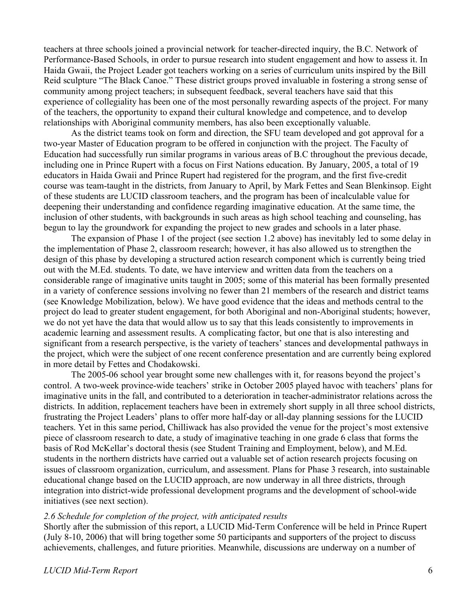teachers at three schools joined a provincial network for teacher-directed inquiry, the B.C. Network of Performance-Based Schools, in order to pursue research into student engagement and how to assess it. In Haida Gwaii, the Project Leader got teachers working on a series of curriculum units inspired by the Bill Reid sculpture "The Black Canoe." These district groups proved invaluable in fostering a strong sense of community among project teachers; in subsequent feedback, several teachers have said that this experience of collegiality has been one of the most personally rewarding aspects of the project. For many of the teachers, the opportunity to expand their cultural knowledge and competence, and to develop relationships with Aboriginal community members, has also been exceptionally valuable.

As the district teams took on form and direction, the SFU team developed and got approval for a two-year Master of Education program to be offered in conjunction with the project. The Faculty of Education had successfully run similar programs in various areas of B.C throughout the previous decade, including one in Prince Rupert with a focus on First Nations education. By January, 2005, a total of 19 educators in Haida Gwaii and Prince Rupert had registered for the program, and the first five-credit course was team-taught in the districts, from January to April, by Mark Fettes and Sean Blenkinsop. Eight of these students are LUCID classroom teachers, and the program has been of incalculable value for deepening their understanding and confidence regarding imaginative education. At the same time, the inclusion of other students, with backgrounds in such areas as high school teaching and counseling, has begun to lay the groundwork for expanding the project to new grades and schools in a later phase.

The expansion of Phase 1 of the project (see section 1.2 above) has inevitably led to some delay in the implementation of Phase 2, classroom research; however, it has also allowed us to strengthen the design of this phase by developing a structured action research component which is currently being tried out with the M.Ed. students. To date, we have interview and written data from the teachers on a considerable range of imaginative units taught in 2005; some of this material has been formally presented in a variety of conference sessions involving no fewer than 21 members of the research and district teams (see Knowledge Mobilization, below). We have good evidence that the ideas and methods central to the project do lead to greater student engagement, for both Aboriginal and non-Aboriginal students; however, we do not yet have the data that would allow us to say that this leads consistently to improvements in academic learning and assessment results. A complicating factor, but one that is also interesting and significant from a research perspective, is the variety of teachers' stances and developmental pathways in the project, which were the subject of one recent conference presentation and are currently being explored in more detail by Fettes and Chodakowski.

The 2005-06 school year brought some new challenges with it, for reasons beyond the project's control. A two-week province-wide teachers' strike in October 2005 played havoc with teachers' plans for imaginative units in the fall, and contributed to a deterioration in teacher-administrator relations across the districts. In addition, replacement teachers have been in extremely short supply in all three school districts, frustrating the Project Leaders' plans to offer more half-day or all-day planning sessions for the LUCID teachers. Yet in this same period, Chilliwack has also provided the venue for the project's most extensive piece of classroom research to date, a study of imaginative teaching in one grade 6 class that forms the basis of Rod McKellar's doctoral thesis (see Student Training and Employment, below), and M.Ed. students in the northern districts have carried out a valuable set of action research projects focusing on issues of classroom organization, curriculum, and assessment. Plans for Phase 3 research, into sustainable educational change based on the LUCID approach, are now underway in all three districts, through integration into district-wide professional development programs and the development of school-wide initiatives (see next section).

#### *2.6 Schedule for completion of the project, with anticipated results*

Shortly after the submission of this report, a LUCID Mid-Term Conference will be held in Prince Rupert (July 8-10, 2006) that will bring together some 50 participants and supporters of the project to discuss achievements, challenges, and future priorities. Meanwhile, discussions are underway on a number of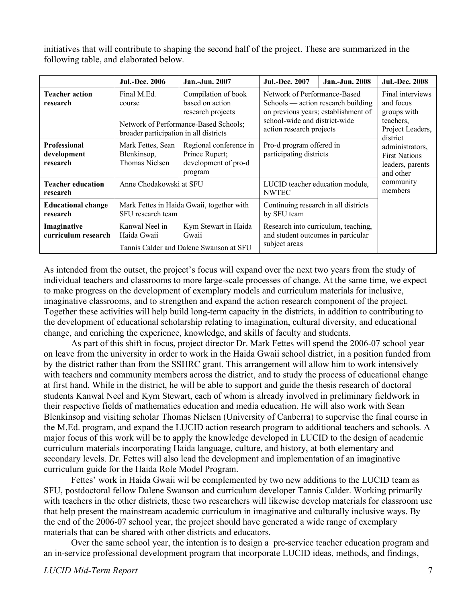initiatives that will contribute to shaping the second half of the project. These are summarized in the following table, and elaborated below.

|                                                | <b>Jul.-Dec. 2006</b>                                          | <b>Jan.-Jun. 2007</b>                                                       | <b>Jul.-Dec. 2007</b>                                                                                     | <b>Jan.-Jun. 2008</b>                                                    | <b>Jul.-Dec. 2008</b> |  |
|------------------------------------------------|----------------------------------------------------------------|-----------------------------------------------------------------------------|-----------------------------------------------------------------------------------------------------------|--------------------------------------------------------------------------|-----------------------|--|
| <b>Teacher action</b><br>research              | Final M.Ed.<br>course                                          | Compilation of book<br>based on action<br>research projects                 | Network of Performance-Based<br>Schools — action research building<br>on previous years; establishment of | Final interviews<br>and focus<br>groups with                             |                       |  |
|                                                | broader participation in all districts                         | Network of Performance-Based Schools;                                       | school-wide and district-wide<br>action research projects                                                 | teachers.<br>Project Leaders,<br>district                                |                       |  |
| <b>Professional</b><br>development<br>research | Mark Fettes, Sean<br>Blenkinsop,<br>Thomas Nielsen             | Regional conference in<br>Prince Rupert;<br>development of pro-d<br>program | Pro-d program offered in<br>participating districts                                                       | administrators,<br><b>First Nations</b><br>leaders, parents<br>and other |                       |  |
| <b>Teacher education</b><br>research           |                                                                | Anne Chodakowski at SFU                                                     |                                                                                                           | LUCID teacher education module,<br><b>NWTEC</b>                          |                       |  |
| <b>Educational change</b><br>research          | Mark Fettes in Haida Gwaii, together with<br>SFU research team |                                                                             | Continuing research in all districts<br>by SFU team                                                       |                                                                          |                       |  |
| Imaginative<br>curriculum research             | Kanwal Neel in<br>Haida Gwaii                                  | Kym Stewart in Haida<br>Gwaii                                               | Research into curriculum, teaching,<br>and student outcomes in particular                                 |                                                                          |                       |  |
|                                                |                                                                | Tannis Calder and Dalene Swanson at SFU                                     | subject areas                                                                                             |                                                                          |                       |  |

As intended from the outset, the project's focus will expand over the next two years from the study of individual teachers and classrooms to more large-scale processes of change. At the same time, we expect to make progress on the development of exemplary models and curriculum materials for inclusive, imaginative classrooms, and to strengthen and expand the action research component of the project. Together these activities will help build long-term capacity in the districts, in addition to contributing to the development of educational scholarship relating to imagination, cultural diversity, and educational change, and enriching the experience, knowledge, and skills of faculty and students.

As part of this shift in focus, project director Dr. Mark Fettes will spend the 2006-07 school year on leave from the university in order to work in the Haida Gwaii school district, in a position funded from by the district rather than from the SSHRC grant. This arrangement will allow him to work intensively with teachers and community members across the district, and to study the process of educational change at first hand. While in the district, he will be able to support and guide the thesis research of doctoral students Kanwal Neel and Kym Stewart, each of whom is already involved in preliminary fieldwork in their respective fields of mathematics education and media education. He will also work with Sean Blenkinsop and visiting scholar Thomas Nielsen (University of Canberra) to supervise the final course in the M.Ed. program, and expand the LUCID action research program to additional teachers and schools. A major focus of this work will be to apply the knowledge developed in LUCID to the design of academic curriculum materials incorporating Haida language, culture, and history, at both elementary and secondary levels. Dr. Fettes will also lead the development and implementation of an imaginative curriculum guide for the Haida Role Model Program.

Fettes' work in Haida Gwaii wil be complemented by two new additions to the LUCID team as SFU, postdoctoral fellow Dalene Swanson and curriculum developer Tannis Calder. Working primarily with teachers in the other districts, these two researchers will likewise develop materials for classroom use that help present the mainstream academic curriculum in imaginative and culturally inclusive ways. By the end of the 2006-07 school year, the project should have generated a wide range of exemplary materials that can be shared with other districts and educators.

Over the same school year, the intention is to design a pre-service teacher education program and an in-service professional development program that incorporate LUCID ideas, methods, and findings,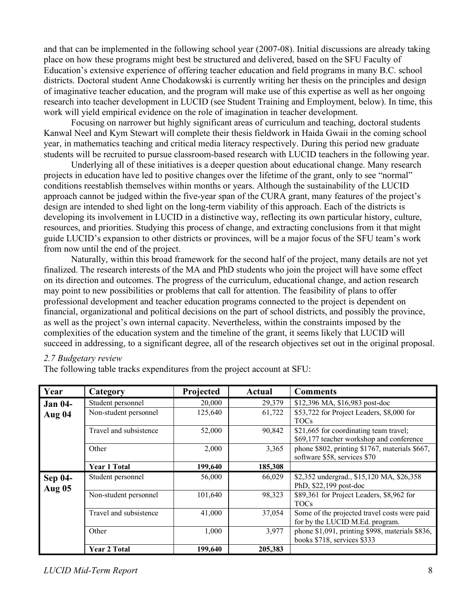and that can be implemented in the following school year (2007-08). Initial discussions are already taking place on how these programs might best be structured and delivered, based on the SFU Faculty of Education's extensive experience of offering teacher education and field programs in many B.C. school districts. Doctoral student Anne Chodakowski is currently writing her thesis on the principles and design of imaginative teacher education, and the program will make use of this expertise as well as her ongoing research into teacher development in LUCID (see Student Training and Employment, below). In time, this work will yield empirical evidence on the role of imagination in teacher development.

Focusing on narrower but highly significant areas of curriculum and teaching, doctoral students Kanwal Neel and Kym Stewart will complete their thesis fieldwork in Haida Gwaii in the coming school year, in mathematics teaching and critical media literacy respectively. During this period new graduate students will be recruited to pursue classroom-based research with LUCID teachers in the following year.

Underlying all of these initiatives is a deeper question about educational change. Many research projects in education have led to positive changes over the lifetime of the grant, only to see "normal" conditions reestablish themselves within months or years. Although the sustainability of the LUCID approach cannot be judged within the five-year span of the CURA grant, many features of the project's design are intended to shed light on the long-term viability of this approach. Each of the districts is developing its involvement in LUCID in a distinctive way, reflecting its own particular history, culture, resources, and priorities. Studying this process of change, and extracting conclusions from it that might guide LUCID's expansion to other districts or provinces, will be a major focus of the SFU team's work from now until the end of the project.

Naturally, within this broad framework for the second half of the project, many details are not yet finalized. The research interests of the MA and PhD students who join the project will have some effect on its direction and outcomes. The progress of the curriculum, educational change, and action research may point to new possibilities or problems that call for attention. The feasibility of plans to offer professional development and teacher education programs connected to the project is dependent on financial, organizational and political decisions on the part of school districts, and possibly the province, as well as the project's own internal capacity. Nevertheless, within the constraints imposed by the complexities of the education system and the timeline of the grant, it seems likely that LUCID will succeed in addressing, to a significant degree, all of the research objectives set out in the original proposal.

#### *2.7 Budgetary review*

The following table tracks expenditures from the project account at SFU:

| Year                            | Category               | Projected | Actual  | <b>Comments</b>                                                                    |
|---------------------------------|------------------------|-----------|---------|------------------------------------------------------------------------------------|
| <b>Jan 04-</b>                  | Student personnel      | 20,000    | 29,379  | \$12,396 MA, \$16,983 post-doc                                                     |
| Aug 04                          | Non-student personnel  | 125,640   | 61,722  | \$53,722 for Project Leaders, \$8,000 for<br><b>TOCs</b>                           |
|                                 | Travel and subsistence | 52,000    | 90,842  | \$21,665 for coordinating team travel;<br>\$69,177 teacher workshop and conference |
|                                 | Other                  | 2,000     | 3,365   | phone \$802, printing \$1767, materials \$667,<br>software \$58, services \$70     |
|                                 | <b>Year 1 Total</b>    | 199,640   | 185,308 |                                                                                    |
| <b>Sep 04-</b><br><b>Aug 05</b> | Student personnel      | 56,000    | 66,029  | \$2,352 undergrad., \$15,120 MA, \$26,358<br>PhD, \$22,199 post-doc                |
|                                 | Non-student personnel  | 101,640   | 98,323  | \$89,361 for Project Leaders, \$8,962 for<br><b>TOCs</b>                           |
|                                 | Travel and subsistence | 41,000    | 37,054  | Some of the projected travel costs were paid<br>for by the LUCID M.Ed. program.    |
|                                 | Other                  | 1,000     | 3,977   | phone \$1,091, printing \$998, materials \$836,<br>books \$718, services \$333     |
|                                 | <b>Year 2 Total</b>    | 199,640   | 205,383 |                                                                                    |

*LUCID Mid-Term Report* 8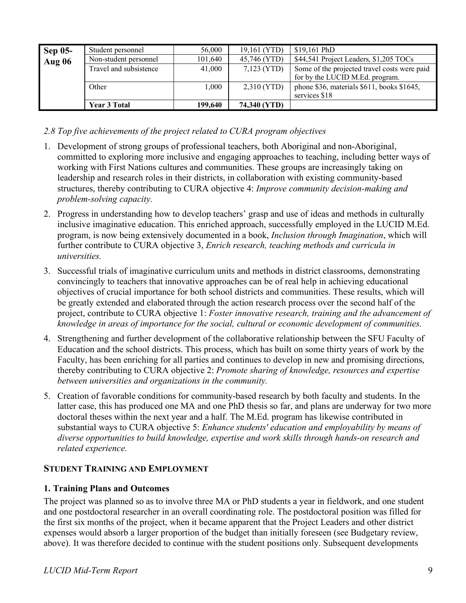| <b>Sep 05-</b> | Student personnel      | 56,000  | 19,161 (YTD)  | $$19,161$ PhD                                |
|----------------|------------------------|---------|---------------|----------------------------------------------|
| <b>Aug 06</b>  | Non-student personnel  | 101,640 | 45,746 (YTD)  | \$44,541 Project Leaders, \$1,205 TOCs       |
|                | Travel and subsistence | 41,000  | $7,123$ (YTD) | Some of the projected travel costs were paid |
|                |                        |         |               | for by the LUCID M.Ed. program.              |
|                | Other                  | 1,000   | 2,310 (YTD)   | phone \$36, materials \$611, books \$1645,   |
|                |                        |         |               | services \$18                                |
|                | <b>Year 3 Total</b>    | 199,640 | 74,340 (YTD)  |                                              |

## *2.8 Top five achievements of the project related to CURA program objectives*

- 1. Development of strong groups of professional teachers, both Aboriginal and non-Aboriginal, committed to exploring more inclusive and engaging approaches to teaching, including better ways of working with First Nations cultures and communities. These groups are increasingly taking on leadership and research roles in their districts, in collaboration with existing community-based structures, thereby contributing to CURA objective 4: *Improve community decision-making and problem-solving capacity.*
- 2. Progress in understanding how to develop teachers' grasp and use of ideas and methods in culturally inclusive imaginative education. This enriched approach, successfully employed in the LUCID M.Ed. program, is now being extensively documented in a book, *Inclusion through Imagination*, which will further contribute to CURA objective 3, *Enrich research, teaching methods and curricula in universities.*
- 3. Successful trials of imaginative curriculum units and methods in district classrooms, demonstrating convincingly to teachers that innovative approaches can be of real help in achieving educational objectives of crucial importance for both school districts and communities. These results, which will be greatly extended and elaborated through the action research process over the second half of the project, contribute to CURA objective 1: *Foster innovative research, training and the advancement of knowledge in areas of importance for the social, cultural or economic development of communities.*
- 4. Strengthening and further development of the collaborative relationship between the SFU Faculty of Education and the school districts. This process, which has built on some thirty years of work by the Faculty, has been enriching for all parties and continues to develop in new and promising directions, thereby contributing to CURA objective 2: *Promote sharing of knowledge, resources and expertise between universities and organizations in the community.*
- 5. Creation of favorable conditions for community-based research by both faculty and students. In the latter case, this has produced one MA and one PhD thesis so far, and plans are underway for two more doctoral theses within the next year and a half. The M.Ed. program has likewise contributed in substantial ways to CURA objective 5: *Enhance students' education and employability by means of diverse opportunities to build knowledge, expertise and work skills through hands-on research and related experience.*

# **STUDENT TRAINING AND EMPLOYMENT**

## **1. Training Plans and Outcomes**

The project was planned so as to involve three MA or PhD students a year in fieldwork, and one student and one postdoctoral researcher in an overall coordinating role. The postdoctoral position was filled for the first six months of the project, when it became apparent that the Project Leaders and other district expenses would absorb a larger proportion of the budget than initially foreseen (see Budgetary review, above). It was therefore decided to continue with the student positions only. Subsequent developments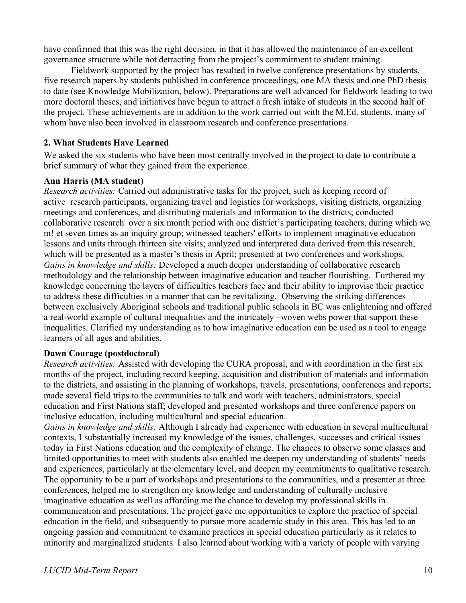have confirmed that this was the right decision, in that it has allowed the maintenance of an excellent governance structure while not detracting from the project's commitment to student training.

Fieldwork supported by the project has resulted in twelve conference presentations by students, five research papers by students published in conference proceedings, one MA thesis and one PhD thesis to date (see Knowledge Mobilization, below). Preparations are well advanced for fieldwork leading to two more doctoral theses, and initiatives have begun to attract a fresh intake of students in the second half of the project. These achievements are in addition to the work carried out with the M.Ed. students, many of whom have also been involved in classroom research and conference presentations.

## **2. What Students Have Learned**

We asked the six students who have been most centrally involved in the project to date to contribute a brief summary of what they gained from the experience.

## **Ann Harris (MA student)**

*Research activities:* Carried out administrative tasks for the project, such as keeping record of active research participants, organizing travel and logistics for workshops, visiting districts, organizing meetings and conferences, and distributing materials and information to the districts; conducted collaborative research over a six month period with one district's participating teachers, during which we m! et seven times as an inquiry group; witnessed teachers' efforts to implement imaginative education lessons and units through thirteen site visits; analyzed and interpreted data derived from this research, which will be presented as a master's thesis in April; presented at two conferences and workshops. *Gains in knowledge and skills:* Developed a much deeper understanding of collaborative research methodology and the relationship between imaginative education and teacher flourishing. Furthered my knowledge concerning the layers of difficulties teachers face and their ability to improvise their practice to address these difficulties in a manner that can be revitalizing. Observing the striking differences between exclusively Aboriginal schools and traditional public schools in BC was enlightening and offered a real-world example of cultural inequalities and the intricately –woven webs power that support these inequalities. Clarified my understanding as to how imaginative education can be used as a tool to engage learners of all ages and abilities.

## **Dawn Courage (postdoctoral)**

*Research activities:* Assisted with developing the CURA proposal, and with coordination in the first six months of the project, including record keeping, acquisition and distribution of materials and information to the districts, and assisting in the planning of workshops, travels, presentations, conferences and reports; made several field trips to the communities to talk and work with teachers, administrators, special education and First Nations staff; developed and presented workshops and three conference papers on inclusive education, including multicultural and special education.

*Gains in knowledge and skills:* Although I already had experience with education in several multicultural contexts, I substantially increased my knowledge of the issues, challenges, successes and critical issues today in First Nations education and the complexity of change. The chances to observe some classes and limited opportunities to meet with students also enabled me deepen my understanding of students' needs and experiences, particularly at the elementary level, and deepen my commitments to qualitative research. The opportunity to be a part of workshops and presentations to the communities, and a presenter at three conferences, helped me to strengthen my knowledge and understanding of culturally inclusive imaginative education as well as affording me the chance to develop my professional skills in communication and presentations. The project gave me opportunities to explore the practice of special education in the field, and subsequently to pursue more academic study in this area. This has led to an ongoing passion and commitment to examine practices in special education particularly as it relates to minority and marginalized students. I also learned about working with a variety of people with varying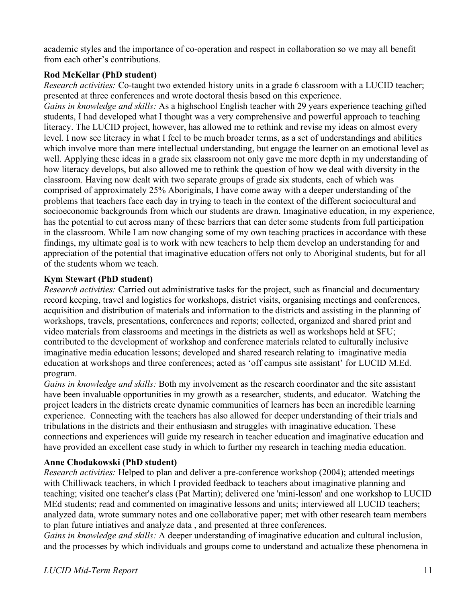academic styles and the importance of co-operation and respect in collaboration so we may all benefit from each other's contributions.

# **Rod McKellar (PhD student)**

*Research activities:* Co-taught two extended history units in a grade 6 classroom with a LUCID teacher; presented at three conferences and wrote doctoral thesis based on this experience.

*Gains in knowledge and skills:* As a highschool English teacher with 29 years experience teaching gifted students, I had developed what I thought was a very comprehensive and powerful approach to teaching literacy. The LUCID project, however, has allowed me to rethink and revise my ideas on almost every level. I now see literacy in what I feel to be much broader terms, as a set of understandings and abilities which involve more than mere intellectual understanding, but engage the learner on an emotional level as well. Applying these ideas in a grade six classroom not only gave me more depth in my understanding of how literacy develops, but also allowed me to rethink the question of how we deal with diversity in the classroom. Having now dealt with two separate groups of grade six students, each of which was comprised of approximately 25% Aboriginals, I have come away with a deeper understanding of the problems that teachers face each day in trying to teach in the context of the different sociocultural and socioeconomic backgrounds from which our students are drawn. Imaginative education, in my experience, has the potential to cut across many of these barriers that can deter some students from full participation in the classroom. While I am now changing some of my own teaching practices in accordance with these findings, my ultimate goal is to work with new teachers to help them develop an understanding for and appreciation of the potential that imaginative education offers not only to Aboriginal students, but for all of the students whom we teach.

## **Kym Stewart (PhD student)**

*Research activities:* Carried out administrative tasks for the project, such as financial and documentary record keeping, travel and logistics for workshops, district visits, organising meetings and conferences, acquisition and distribution of materials and information to the districts and assisting in the planning of workshops, travels, presentations, conferences and reports; collected, organized and shared print and video materials from classrooms and meetings in the districts as well as workshops held at SFU; contributed to the development of workshop and conference materials related to culturally inclusive imaginative media education lessons; developed and shared research relating to imaginative media education at workshops and three conferences; acted as 'off campus site assistant' for LUCID M.Ed. program.

*Gains in knowledge and skills:* Both my involvement as the research coordinator and the site assistant have been invaluable opportunities in my growth as a researcher, students, and educator. Watching the project leaders in the districts create dynamic communities of learners has been an incredible learning experience. Connecting with the teachers has also allowed for deeper understanding of their trials and tribulations in the districts and their enthusiasm and struggles with imaginative education. These connections and experiences will guide my research in teacher education and imaginative education and have provided an excellent case study in which to further my research in teaching media education.

## **Anne Chodakowski (PhD student)**

*Research activities:* Helped to plan and deliver a pre-conference workshop (2004); attended meetings with Chilliwack teachers, in which I provided feedback to teachers about imaginative planning and teaching; visited one teacher's class (Pat Martin); delivered one 'mini-lesson' and one workshop to LUCID MEd students; read and commented on imaginative lessons and units; interviewed all LUCID teachers; analyzed data, wrote summary notes and one collaborative paper; met with other research team members to plan future intiatives and analyze data , and presented at three conferences.

*Gains in knowledge and skills:* A deeper understanding of imaginative education and cultural inclusion, and the processes by which individuals and groups come to understand and actualize these phenomena in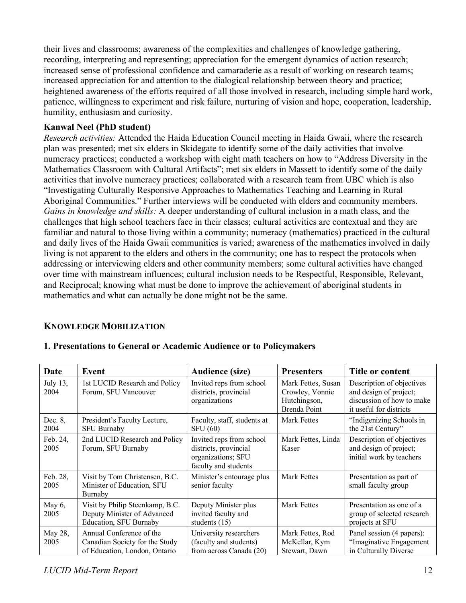their lives and classrooms; awareness of the complexities and challenges of knowledge gathering, recording, interpreting and representing; appreciation for the emergent dynamics of action research; increased sense of professional confidence and camaraderie as a result of working on research teams; increased appreciation for and attention to the dialogical relationship between theory and practice; heightened awareness of the efforts required of all those involved in research, including simple hard work, patience, willingness to experiment and risk failure, nurturing of vision and hope, cooperation, leadership, humility, enthusiasm and curiosity.

#### **Kanwal Neel (PhD student)**

*Research activities:* Attended the Haida Education Council meeting in Haida Gwaii, where the research plan was presented; met six elders in Skidegate to identify some of the daily activities that involve numeracy practices; conducted a workshop with eight math teachers on how to "Address Diversity in the Mathematics Classroom with Cultural Artifacts"; met six elders in Massett to identify some of the daily activities that involve numeracy practices; collaborated with a research team from UBC which is also "Investigating Culturally Responsive Approaches to Mathematics Teaching and Learning in Rural Aboriginal Communities." Further interviews will be conducted with elders and community members. *Gains in knowledge and skills:* A deeper understanding of cultural inclusion in a math class, and the challenges that high school teachers face in their classes; cultural activities are contextual and they are familiar and natural to those living within a community; numeracy (mathematics) practiced in the cultural and daily lives of the Haida Gwaii communities is varied; awareness of the mathematics involved in daily living is not apparent to the elders and others in the community; one has to respect the protocols when addressing or interviewing elders and other community members; some cultural activities have changed over time with mainstream influences; cultural inclusion needs to be Respectful, Responsible, Relevant, and Reciprocal; knowing what must be done to improve the achievement of aboriginal students in mathematics and what can actually be done might not be the same.

## **KNOWLEDGE MOBILIZATION**

| Date             | Event                                                                                       | <b>Audience (size)</b>                                                                          | <b>Presenters</b>                                                     | Title or content                                                                                            |
|------------------|---------------------------------------------------------------------------------------------|-------------------------------------------------------------------------------------------------|-----------------------------------------------------------------------|-------------------------------------------------------------------------------------------------------------|
|                  |                                                                                             |                                                                                                 |                                                                       |                                                                                                             |
| July 13,<br>2004 | 1st LUCID Research and Policy<br>Forum, SFU Vancouver                                       | Invited reps from school<br>districts, provincial<br>organizations                              | Mark Fettes, Susan<br>Crowley, Vonnie<br>Hutchingson,<br>Brenda Point | Description of objectives<br>and design of project;<br>discussion of how to make<br>it useful for districts |
| Dec. 8,<br>2004  | President's Faculty Lecture,<br><b>SFU Burnaby</b>                                          | Faculty, staff, students at<br><b>SFU</b> (60)                                                  | Mark Fettes                                                           | "Indigenizing Schools in<br>the 21st Century"                                                               |
| Feb. 24,<br>2005 | 2nd LUCID Research and Policy<br>Forum, SFU Burnaby                                         | Invited reps from school<br>districts, provincial<br>organizations; SFU<br>faculty and students | Mark Fettes, Linda<br>Kaser                                           | Description of objectives<br>and design of project;<br>initial work by teachers                             |
| Feb. 28,<br>2005 | Visit by Tom Christensen, B.C.<br>Minister of Education, SFU<br>Burnaby                     | Minister's entourage plus<br>senior faculty                                                     | <b>Mark Fettes</b>                                                    | Presentation as part of<br>small faculty group                                                              |
| May 6,<br>2005   | Visit by Philip Steenkamp, B.C.<br>Deputy Minister of Advanced<br>Education, SFU Burnaby    | Deputy Minister plus<br>invited faculty and<br>students $(15)$                                  | <b>Mark Fettes</b>                                                    | Presentation as one of a<br>group of selected research<br>projects at SFU                                   |
| May 28,<br>2005  | Annual Conference of the<br>Canadian Society for the Study<br>of Education, London, Ontario | University researchers<br>(faculty and students)<br>from across Canada (20)                     | Mark Fettes, Rod<br>McKellar, Kym<br>Stewart, Dawn                    | Panel session (4 papers):<br>"Imaginative Engagement<br>in Culturally Diverse                               |

## **1. Presentations to General or Academic Audience or to Policymakers**

# *LUCID Mid-Term Report* 12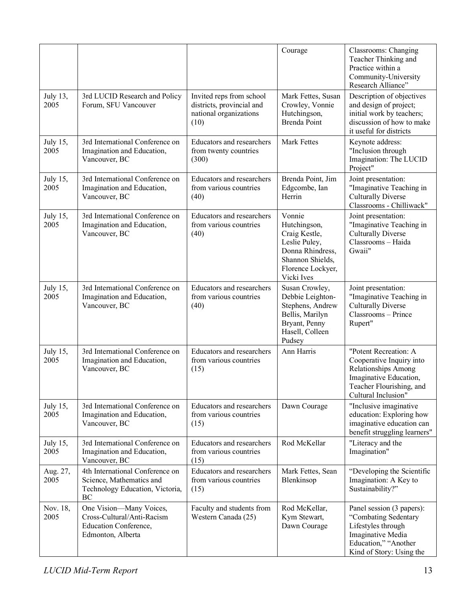|                  |                                                                                                            |                                                                                         | Courage                                                                                                                             | Classrooms: Changing<br>Teacher Thinking and<br>Practice within a<br>Community-University<br>Research Alliance"                                              |
|------------------|------------------------------------------------------------------------------------------------------------|-----------------------------------------------------------------------------------------|-------------------------------------------------------------------------------------------------------------------------------------|--------------------------------------------------------------------------------------------------------------------------------------------------------------|
| July 13,<br>2005 | 3rd LUCID Research and Policy<br>Forum, SFU Vancouver                                                      | Invited reps from school<br>districts, provincial and<br>national organizations<br>(10) | Mark Fettes, Susan<br>Crowley, Vonnie<br>Hutchingson,<br>Brenda Point                                                               | Description of objectives<br>and design of project;<br>initial work by teachers;<br>discussion of how to make<br>it useful for districts                     |
| July 15,<br>2005 | 3rd International Conference on<br>Imagination and Education,<br>Vancouver, BC                             | Educators and researchers<br>from twenty countries<br>(300)                             | Mark Fettes                                                                                                                         | Keynote address:<br>"Inclusion through<br>Imagination: The LUCID<br>Project"                                                                                 |
| July 15,<br>2005 | 3rd International Conference on<br>Imagination and Education,<br>Vancouver, BC                             | Educators and researchers<br>from various countries<br>(40)                             | Brenda Point, Jim<br>Edgcombe, Ian<br>Herrin                                                                                        | Joint presentation:<br>"Imaginative Teaching in<br><b>Culturally Diverse</b><br>Classrooms - Chilliwack"                                                     |
| July 15,<br>2005 | 3rd International Conference on<br>Imagination and Education,<br>Vancouver, BC                             | Educators and researchers<br>from various countries<br>(40)                             | Vonnie<br>Hutchingson,<br>Craig Kestle,<br>Leslie Puley,<br>Donna Rhindress,<br>Shannon Shields,<br>Florence Lockyer,<br>Vicki Ives | Joint presentation:<br>"Imaginative Teaching in<br><b>Culturally Diverse</b><br>Classrooms - Haida<br>Gwaii"                                                 |
| July 15,<br>2005 | 3rd International Conference on<br>Imagination and Education,<br>Vancouver, BC                             | Educators and researchers<br>from various countries<br>(40)                             | Susan Crowley,<br>Debbie Leighton-<br>Stephens, Andrew<br>Bellis, Marilyn<br>Bryant, Penny<br>Hasell, Colleen<br>Pudsey             | Joint presentation:<br>"Imaginative Teaching in<br><b>Culturally Diverse</b><br>Classrooms - Prince<br>Rupert"                                               |
| July 15,<br>2005 | 3rd International Conference on<br>Imagination and Education,<br>Vancouver, BC                             | <b>Educators and researchers</b><br>from various countries<br>(15)                      | Ann Harris                                                                                                                          | "Potent Recreation: A<br>Cooperative Inquiry into<br><b>Relationships Among</b><br>Imaginative Education,<br>Teacher Flourishing, and<br>Cultural Inclusion" |
| July 15,<br>2005 | 3rd International Conference on<br>Imagination and Education,<br>Vancouver, BC                             | <b>Educators and researchers</b><br>from various countries<br>(15)                      | Dawn Courage                                                                                                                        | "Inclusive imaginative<br>education: Exploring how<br>imaginative education can<br>benefit struggling learners"                                              |
| July 15,<br>2005 | 3rd International Conference on<br>Imagination and Education,<br>Vancouver, BC                             | <b>Educators and researchers</b><br>from various countries<br>(15)                      | Rod McKellar                                                                                                                        | "Literacy and the<br>Imagination"                                                                                                                            |
| Aug. 27,<br>2005 | 4th International Conference on<br>Science, Mathematics and<br>Technology Education, Victoria,<br>BC       | Educators and researchers<br>from various countries<br>(15)                             | Mark Fettes, Sean<br>Blenkinsop                                                                                                     | "Developing the Scientific<br>Imagination: A Key to<br>Sustainability?"                                                                                      |
| Nov. 18,<br>2005 | One Vision-Many Voices,<br>Cross-Cultural/Anti-Racism<br><b>Education Conference,</b><br>Edmonton, Alberta | Faculty and students from<br>Western Canada (25)                                        | Rod McKellar,<br>Kym Stewart,<br>Dawn Courage                                                                                       | Panel session (3 papers):<br>"Combating Sedentary<br>Lifestyles through<br>Imaginative Media<br>Education," "Another<br>Kind of Story: Using the             |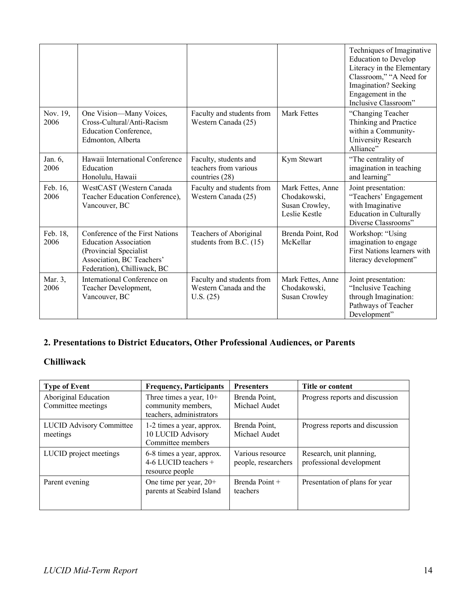|                  |                                                                                                                                                       |                                                                  |                                                                      | Techniques of Imaginative<br><b>Education to Develop</b><br>Literacy in the Elementary<br>Classroom," "A Need for<br>Imagination? Seeking<br>Engagement in the<br>Inclusive Classroom" |
|------------------|-------------------------------------------------------------------------------------------------------------------------------------------------------|------------------------------------------------------------------|----------------------------------------------------------------------|----------------------------------------------------------------------------------------------------------------------------------------------------------------------------------------|
| Nov. 19,<br>2006 | One Vision-Many Voices,<br>Cross-Cultural/Anti-Racism<br><b>Education Conference,</b><br>Edmonton, Alberta                                            | Faculty and students from<br>Western Canada (25)                 | <b>Mark Fettes</b>                                                   | "Changing Teacher"<br>Thinking and Practice<br>within a Community-<br>University Research<br>Alliance"                                                                                 |
| Jan. 6,<br>2006  | Hawaii International Conference<br>Education<br>Honolulu, Hawaii                                                                                      | Faculty, students and<br>teachers from various<br>countries (28) | Kym Stewart                                                          | "The centrality of<br>imagination in teaching<br>and learning"                                                                                                                         |
| Feb. 16,<br>2006 | WestCAST (Western Canada<br>Teacher Education Conference),<br>Vancouver, BC                                                                           | Faculty and students from<br>Western Canada (25)                 | Mark Fettes, Anne<br>Chodakowski,<br>Susan Crowley,<br>Leslie Kestle | Joint presentation:<br>"Teachers' Engagement<br>with Imaginative<br><b>Education in Culturally</b><br>Diverse Classrooms"                                                              |
| Feb. 18,<br>2006 | Conference of the First Nations<br><b>Education Association</b><br>(Provincial Specialist<br>Association, BC Teachers'<br>Federation), Chilliwack, BC | Teachers of Aboriginal<br>students from B.C. $(15)$              | Brenda Point, Rod<br>McKellar                                        | Workshop: "Using<br>imagination to engage<br>First Nations learners with<br>literacy development"                                                                                      |
| Mar. 3,<br>2006  | International Conference on<br>Teacher Development,<br>Vancouver, BC                                                                                  | Faculty and students from<br>Western Canada and the<br>U.S. (25) | Mark Fettes, Anne<br>Chodakowski,<br><b>Susan Crowley</b>            | Joint presentation:<br>"Inclusive Teaching<br>through Imagination:<br>Pathways of Teacher<br>Development"                                                                              |

# **2. Presentations to District Educators, Other Professional Audiences, or Parents**

# **Chilliwack**

| <b>Type of Event</b>                        | <b>Frequency, Participants</b>                                              | <b>Presenters</b>                       | Title or content                                     |
|---------------------------------------------|-----------------------------------------------------------------------------|-----------------------------------------|------------------------------------------------------|
| Aboriginal Education<br>Committee meetings  | Three times a year, $10+$<br>community members,<br>teachers, administrators | Brenda Point,<br>Michael Audet          | Progress reports and discussion                      |
| <b>LUCID Advisory Committee</b><br>meetings | 1-2 times a year, approx.<br>10 LUCID Advisory<br>Committee members         | Brenda Point,<br>Michael Audet          | Progress reports and discussion                      |
| LUCID project meetings                      | 6-8 times a year, approx.<br>4-6 LUCID teachers $+$<br>resource people      | Various resource<br>people, researchers | Research, unit planning,<br>professional development |
| Parent evening                              | One time per year, $20+$<br>parents at Seabird Island                       | Brenda Point +<br>teachers              | Presentation of plans for year                       |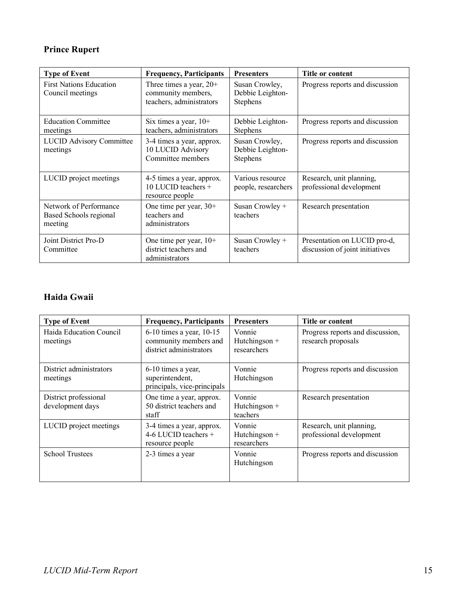# **Prince Rupert**

| <b>Type of Event</b>                                               | <b>Frequency, Participants</b>                                              | <b>Presenters</b>                                     | Title or content                                                |  |
|--------------------------------------------------------------------|-----------------------------------------------------------------------------|-------------------------------------------------------|-----------------------------------------------------------------|--|
| <b>First Nations Education</b><br>Council meetings                 | Three times a year, $20+$<br>community members,<br>teachers, administrators | Susan Crowley,<br>Debbie Leighton-<br><b>Stephens</b> | Progress reports and discussion                                 |  |
| <b>Education Committee</b><br>meetings                             | Six times a year, $10+$<br>teachers, administrators                         | Debbie Leighton-<br><b>Stephens</b>                   | Progress reports and discussion                                 |  |
| <b>LUCID Advisory Committee</b><br>meetings                        | 3-4 times a year, approx.<br>10 LUCID Advisory<br>Committee members         | Susan Crowley,<br>Debbie Leighton-<br>Stephens        | Progress reports and discussion                                 |  |
| LUCID project meetings                                             | 4-5 times a year, approx.<br>10 LUCID teachers $+$<br>resource people       | Various resource<br>people, researchers               | Research, unit planning,<br>professional development            |  |
| Network of Performance<br><b>Based Schools regional</b><br>meeting | One time per year, $30+$<br>teachers and<br>administrators                  | Susan Crowley +<br>teachers                           | Research presentation                                           |  |
| Joint District Pro-D<br>Committee                                  | One time per year, $10+$<br>district teachers and<br>administrators         | Susan Crowley +<br>teachers                           | Presentation on LUCID pro-d,<br>discussion of joint initiatives |  |

# **Haida Gwaii**

| <b>Type of Event</b>                      | <b>Frequency, Participants</b>                                                   | <b>Presenters</b>                      | Title or content                                       |
|-------------------------------------------|----------------------------------------------------------------------------------|----------------------------------------|--------------------------------------------------------|
| Haida Education Council<br>meetings       | $6-10$ times a year, $10-15$<br>community members and<br>district administrators | Vonnie<br>Hutchingson +<br>researchers | Progress reports and discussion,<br>research proposals |
| District administrators<br>meetings       | 6-10 times a year,<br>superintendent,<br>principals, vice-principals             | Vonnie<br>Hutchingson                  | Progress reports and discussion                        |
| District professional<br>development days | One time a year, approx.<br>50 district teachers and<br>staff                    | Vonnie<br>Hutchingson +<br>teachers    | Research presentation                                  |
| LUCID project meetings                    | 3-4 times a year, approx.<br>4-6 LUCID teachers $+$<br>resource people           | Vonnie<br>Hutchingson +<br>researchers | Research, unit planning,<br>professional development   |
| <b>School Trustees</b>                    | 2-3 times a year                                                                 | Vonnie<br>Hutchingson                  | Progress reports and discussion                        |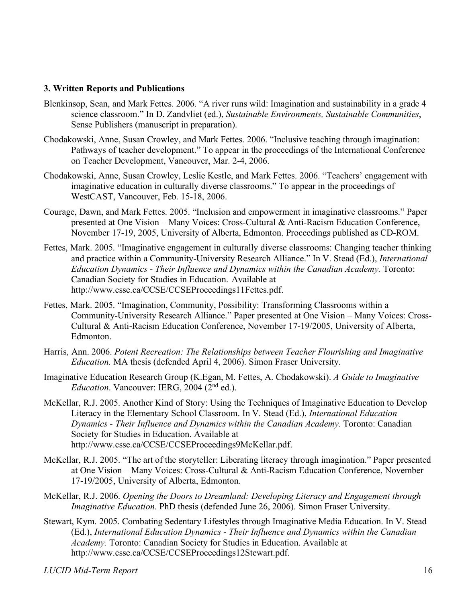#### **3. Written Reports and Publications**

- Blenkinsop, Sean, and Mark Fettes. 2006. "A river runs wild: Imagination and sustainability in a grade 4 science classroom." In D. Zandvliet (ed.), *Sustainable Environments, Sustainable Communities*, Sense Publishers (manuscript in preparation).
- Chodakowski, Anne, Susan Crowley, and Mark Fettes. 2006. "Inclusive teaching through imagination: Pathways of teacher development." To appear in the proceedings of the International Conference on Teacher Development, Vancouver, Mar. 2-4, 2006.
- Chodakowski, Anne, Susan Crowley, Leslie Kestle, and Mark Fettes. 2006. "Teachers' engagement with imaginative education in culturally diverse classrooms." To appear in the proceedings of WestCAST, Vancouver, Feb. 15-18, 2006.
- Courage, Dawn, and Mark Fettes. 2005. "Inclusion and empowerment in imaginative classrooms." Paper presented at One Vision – Many Voices: Cross-Cultural & Anti-Racism Education Conference, November 17-19, 2005, University of Alberta, Edmonton. Proceedings published as CD-ROM.
- Fettes, Mark. 2005. "Imaginative engagement in culturally diverse classrooms: Changing teacher thinking and practice within a Community-University Research Alliance." In V. Stead (Ed.), *International Education Dynamics - Their Influence and Dynamics within the Canadian Academy.* Toronto: Canadian Society for Studies in Education. Available at http://www.csse.ca/CCSE/CCSEProceedings11Fettes.pdf.
- Fettes, Mark. 2005. "Imagination, Community, Possibility: Transforming Classrooms within a Community-University Research Alliance." Paper presented at One Vision – Many Voices: Cross-Cultural & Anti-Racism Education Conference, November 17-19/2005, University of Alberta, Edmonton.
- Harris, Ann. 2006. *Potent Recreation: The Relationships between Teacher Flourishing and Imaginative Education.* MA thesis (defended April 4, 2006). Simon Fraser University.
- Imaginative Education Research Group (K.Egan, M. Fettes, A. Chodakowski). *A Guide to Imaginative Education*. Vancouver: IERG, 2004 (2nd ed.).
- McKellar, R.J. 2005. Another Kind of Story: Using the Techniques of Imaginative Education to Develop Literacy in the Elementary School Classroom. In V. Stead (Ed.), *International Education Dynamics - Their Influence and Dynamics within the Canadian Academy.* Toronto: Canadian Society for Studies in Education. Available at http://www.csse.ca/CCSE/CCSEProceedings9McKellar.pdf.
- McKellar, R.J. 2005. "The art of the storyteller: Liberating literacy through imagination." Paper presented at One Vision – Many Voices: Cross-Cultural & Anti-Racism Education Conference, November 17-19/2005, University of Alberta, Edmonton.
- McKellar, R.J. 2006. *Opening the Doors to Dreamland: Developing Literacy and Engagement through Imaginative Education.* PhD thesis (defended June 26, 2006). Simon Fraser University.
- Stewart, Kym. 2005. Combating Sedentary Lifestyles through Imaginative Media Education. In V. Stead (Ed.), *International Education Dynamics - Their Influence and Dynamics within the Canadian Academy.* Toronto: Canadian Society for Studies in Education. Available at http://www.csse.ca/CCSE/CCSEProceedings12Stewart.pdf.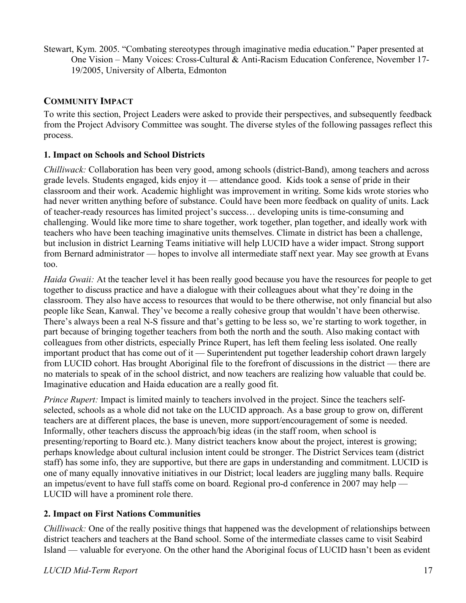Stewart, Kym. 2005. "Combating stereotypes through imaginative media education." Paper presented at One Vision – Many Voices: Cross-Cultural & Anti-Racism Education Conference, November 17- 19/2005, University of Alberta, Edmonton

## **COMMUNITY IMPACT**

To write this section, Project Leaders were asked to provide their perspectives, and subsequently feedback from the Project Advisory Committee was sought. The diverse styles of the following passages reflect this process.

## **1. Impact on Schools and School Districts**

*Chilliwack:* Collaboration has been very good, among schools (district-Band), among teachers and across grade levels. Students engaged, kids enjoy it — attendance good. Kids took a sense of pride in their classroom and their work. Academic highlight was improvement in writing. Some kids wrote stories who had never written anything before of substance. Could have been more feedback on quality of units. Lack of teacher-ready resources has limited project's success… developing units is time-consuming and challenging. Would like more time to share together, work together, plan together, and ideally work with teachers who have been teaching imaginative units themselves. Climate in district has been a challenge, but inclusion in district Learning Teams initiative will help LUCID have a wider impact. Strong support from Bernard administrator — hopes to involve all intermediate staff next year. May see growth at Evans too.

*Haida Gwaii:* At the teacher level it has been really good because you have the resources for people to get together to discuss practice and have a dialogue with their colleagues about what they're doing in the classroom. They also have access to resources that would to be there otherwise, not only financial but also people like Sean, Kanwal. They've become a really cohesive group that wouldn't have been otherwise. There's always been a real N-S fissure and that's getting to be less so, we're starting to work together, in part because of bringing together teachers from both the north and the south. Also making contact with colleagues from other districts, especially Prince Rupert, has left them feeling less isolated. One really important product that has come out of it — Superintendent put together leadership cohort drawn largely from LUCID cohort. Has brought Aboriginal file to the forefront of discussions in the district — there are no materials to speak of in the school district, and now teachers are realizing how valuable that could be. Imaginative education and Haida education are a really good fit.

*Prince Rupert:* Impact is limited mainly to teachers involved in the project. Since the teachers selfselected, schools as a whole did not take on the LUCID approach. As a base group to grow on, different teachers are at different places, the base is uneven, more support/encouragement of some is needed. Informally, other teachers discuss the approach/big ideas (in the staff room, when school is presenting/reporting to Board etc.). Many district teachers know about the project, interest is growing; perhaps knowledge about cultural inclusion intent could be stronger. The District Services team (district staff) has some info, they are supportive, but there are gaps in understanding and commitment. LUCID is one of many equally innovative initiatives in our District; local leaders are juggling many balls. Require an impetus/event to have full staffs come on board. Regional pro-d conference in 2007 may help — LUCID will have a prominent role there.

## **2. Impact on First Nations Communities**

*Chilliwack:* One of the really positive things that happened was the development of relationships between district teachers and teachers at the Band school. Some of the intermediate classes came to visit Seabird Island — valuable for everyone. On the other hand the Aboriginal focus of LUCID hasn't been as evident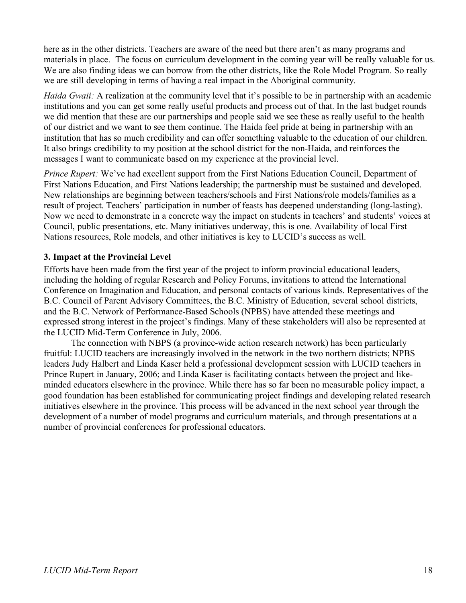here as in the other districts. Teachers are aware of the need but there aren't as many programs and materials in place. The focus on curriculum development in the coming year will be really valuable for us. We are also finding ideas we can borrow from the other districts, like the Role Model Program. So really we are still developing in terms of having a real impact in the Aboriginal community.

*Haida Gwaii:* A realization at the community level that it's possible to be in partnership with an academic institutions and you can get some really useful products and process out of that. In the last budget rounds we did mention that these are our partnerships and people said we see these as really useful to the health of our district and we want to see them continue. The Haida feel pride at being in partnership with an institution that has so much credibility and can offer something valuable to the education of our children. It also brings credibility to my position at the school district for the non-Haida, and reinforces the messages I want to communicate based on my experience at the provincial level.

*Prince Rupert:* We've had excellent support from the First Nations Education Council, Department of First Nations Education, and First Nations leadership; the partnership must be sustained and developed. New relationships are beginning between teachers/schools and First Nations/role models/families as a result of project. Teachers' participation in number of feasts has deepened understanding (long-lasting). Now we need to demonstrate in a concrete way the impact on students in teachers' and students' voices at Council, public presentations, etc. Many initiatives underway, this is one. Availability of local First Nations resources, Role models, and other initiatives is key to LUCID's success as well.

## **3. Impact at the Provincial Level**

Efforts have been made from the first year of the project to inform provincial educational leaders, including the holding of regular Research and Policy Forums, invitations to attend the International Conference on Imagination and Education, and personal contacts of various kinds. Representatives of the B.C. Council of Parent Advisory Committees, the B.C. Ministry of Education, several school districts, and the B.C. Network of Performance-Based Schools (NPBS) have attended these meetings and expressed strong interest in the project's findings. Many of these stakeholders will also be represented at the LUCID Mid-Term Conference in July, 2006.

The connection with NBPS (a province-wide action research network) has been particularly fruitful: LUCID teachers are increasingly involved in the network in the two northern districts; NPBS leaders Judy Halbert and Linda Kaser held a professional development session with LUCID teachers in Prince Rupert in January, 2006; and Linda Kaser is facilitating contacts between the project and likeminded educators elsewhere in the province. While there has so far been no measurable policy impact, a good foundation has been established for communicating project findings and developing related research initiatives elsewhere in the province. This process will be advanced in the next school year through the development of a number of model programs and curriculum materials, and through presentations at a number of provincial conferences for professional educators.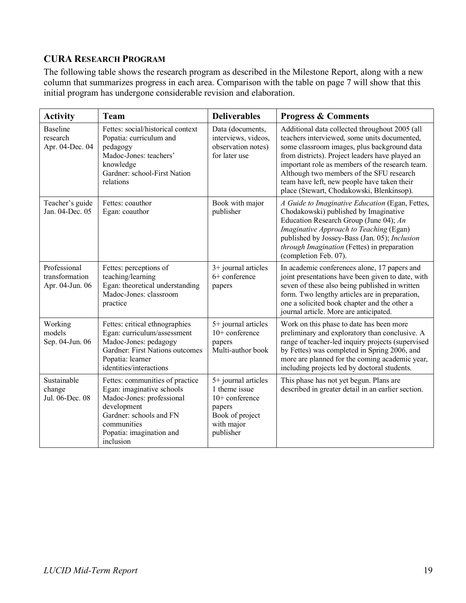# **CURA RESEARCH PROGRAM**

The following table shows the research program as described in the Milestone Report, along with a new column that summarizes progress in each area. Comparison with the table on page 7 will show that this initial program has undergone considerable revision and elaboration.

| <b>Activity</b>                                   | <b>Team</b>                                                                                                                                                                                 | <b>Deliverables</b>                                                                                              | <b>Progress &amp; Comments</b>                                                                                                                                                                                                                                                                                                                                                              |
|---------------------------------------------------|---------------------------------------------------------------------------------------------------------------------------------------------------------------------------------------------|------------------------------------------------------------------------------------------------------------------|---------------------------------------------------------------------------------------------------------------------------------------------------------------------------------------------------------------------------------------------------------------------------------------------------------------------------------------------------------------------------------------------|
| <b>Baseline</b><br>research<br>Apr. 04-Dec. 04    | Fettes: social/historical context<br>Popatia: curriculum and<br>pedagogy<br>Madoc-Jones: teachers'<br>knowledge<br>Gardner: school-First Nation<br>relations                                | Data (documents,<br>interviews, videos,<br>observation notes)<br>for later use                                   | Additional data collected throughout 2005 (all<br>teachers interviewed, some units documented,<br>some classroom images, plus background data<br>from districts). Project leaders have played an<br>important role as members of the research team.<br>Although two members of the SFU research<br>team have left, new people have taken their<br>place (Stewart, Chodakowski, Blenkinsop). |
| Teacher's guide<br>Jan. 04-Dec. 05                | Fettes: coauthor<br>Egan: coauthor                                                                                                                                                          | Book with major<br>publisher                                                                                     | A Guide to Imaginative Education (Egan, Fettes,<br>Chodakowski) published by Imaginative<br>Education Research Group (June 04); An<br>Imaginative Approach to Teaching (Egan)<br>published by Jossey-Bass (Jan. 05); Inclusion<br>through Imagination (Fettes) in preparation<br>(completion Feb. 07).                                                                                      |
| Professional<br>transformation<br>Apr. 04-Jun. 06 | Fettes: perceptions of<br>teaching/learning<br>Egan: theoretical understanding<br>Madoc-Jones: classroom<br>practice                                                                        | 3+ journal articles<br>6+ conference<br>papers                                                                   | In academic conferences alone, 17 papers and<br>joint presentations have been given to date, with<br>seven of these also being published in written<br>form. Two lengthy articles are in preparation,<br>one a solicited book chapter and the other a<br>journal article. More are anticipated.                                                                                             |
| Working<br>models<br>Sep. 04-Jun. 06              | Fettes: critical ethnographies<br>Egan: curriculum/assessment<br>Madoc-Jones: pedagogy<br>Gardner: First Nations outcomes<br>Popatia: learner<br>identities/interactions                    | 5+ journal articles<br>$10+$ conference<br>papers<br>Multi-author book                                           | Work on this phase to date has been more<br>preliminary and exploratory than conclusive. A<br>range of teacher-led inquiry projects (supervised<br>by Fettes) was completed in Spring 2006, and<br>more are planned for the coming academic year,<br>including projects led by doctoral students.                                                                                           |
| Sustainable<br>change<br>Jul. 06-Dec. 08          | Fettes: communities of practice<br>Egan: imaginative schools<br>Madoc-Jones: professional<br>development<br>Gardner: schools and FN<br>communities<br>Popatia: imagination and<br>inclusion | 5+ journal articles<br>1 theme issue<br>$10+$ conference<br>papers<br>Book of project<br>with major<br>publisher | This phase has not yet begun. Plans are<br>described in greater detail in an earlier section.                                                                                                                                                                                                                                                                                               |